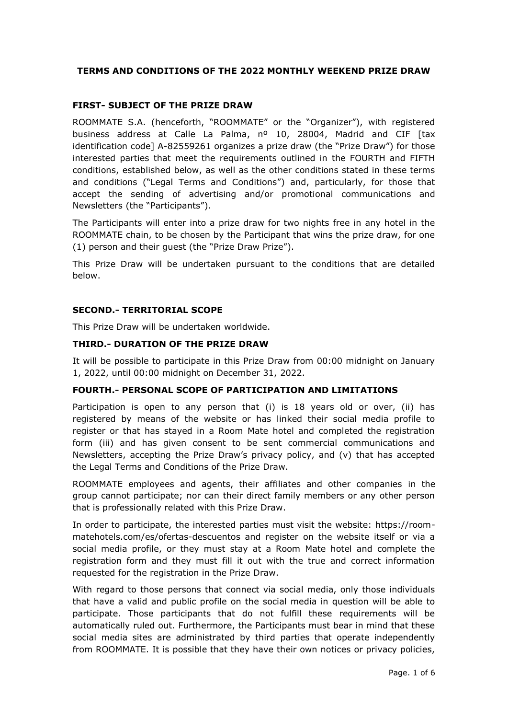## **TERMS AND CONDITIONS OF THE 2022 MONTHLY WEEKEND PRIZE DRAW**

### **FIRST- SUBJECT OF THE PRIZE DRAW**

ROOMMATE S.A. (henceforth, "ROOMMATE" or the "Organizer"), with registered business address at Calle La Palma, nº 10, 28004, Madrid and CIF [tax identification code] A-82559261 organizes a prize draw (the "Prize Draw") for those interested parties that meet the requirements outlined in the FOURTH and FIFTH conditions, established below, as well as the other conditions stated in these terms and conditions ("Legal Terms and Conditions") and, particularly, for those that accept the sending of advertising and/or promotional communications and Newsletters (the "Participants").

The Participants will enter into a prize draw for two nights free in any hotel in the ROOMMATE chain, to be chosen by the Participant that wins the prize draw, for one (1) person and their guest (the "Prize Draw Prize").

This Prize Draw will be undertaken pursuant to the conditions that are detailed below.

### **SECOND.- TERRITORIAL SCOPE**

This Prize Draw will be undertaken worldwide.

### **THIRD.- DURATION OF THE PRIZE DRAW**

It will be possible to participate in this Prize Draw from 00:00 midnight on January 1, 2022, until 00:00 midnight on December 31, 2022.

### **FOURTH.- PERSONAL SCOPE OF PARTICIPATION AND LIMITATIONS**

Participation is open to any person that (i) is 18 years old or over, (ii) has registered by means of the website or has linked their social media profile to register or that has stayed in a Room Mate hotel and completed the registration form (iii) and has given consent to be sent commercial communications and Newsletters, accepting the Prize Draw's privacy policy, and (v) that has accepted the Legal Terms and Conditions of the Prize Draw.

ROOMMATE employees and agents, their affiliates and other companies in the group cannot participate; nor can their direct family members or any other person that is professionally related with this Prize Draw.

In order to participate, the interested parties must visit the website: https://roommatehotels.com/es/ofertas-descuentos and register on the website itself or via a social media profile, or they must stay at a Room Mate hotel and complete the registration form and they must fill it out with the true and correct information requested for the registration in the Prize Draw.

With regard to those persons that connect via social media, only those individuals that have a valid and public profile on the social media in question will be able to participate. Those participants that do not fulfill these requirements will be automatically ruled out. Furthermore, the Participants must bear in mind that these social media sites are administrated by third parties that operate independently from ROOMMATE. It is possible that they have their own notices or privacy policies,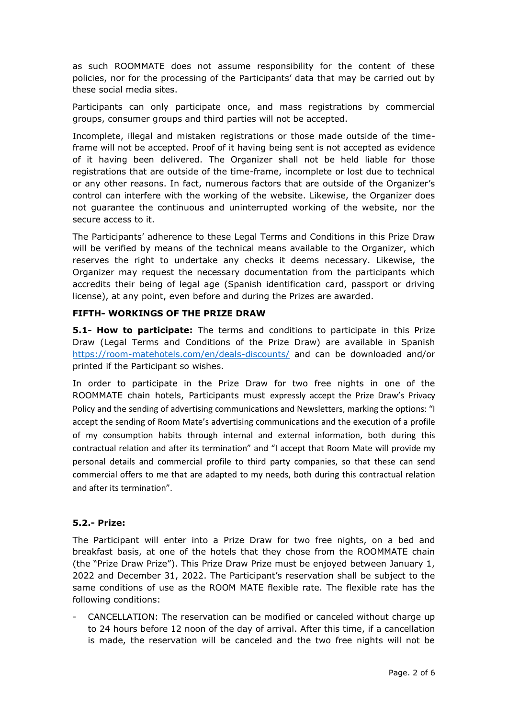as such ROOMMATE does not assume responsibility for the content of these policies, nor for the processing of the Participants' data that may be carried out by these social media sites.

Participants can only participate once, and mass registrations by commercial groups, consumer groups and third parties will not be accepted.

Incomplete, illegal and mistaken registrations or those made outside of the timeframe will not be accepted. Proof of it having being sent is not accepted as evidence of it having been delivered. The Organizer shall not be held liable for those registrations that are outside of the time-frame, incomplete or lost due to technical or any other reasons. In fact, numerous factors that are outside of the Organizer's control can interfere with the working of the website. Likewise, the Organizer does not guarantee the continuous and uninterrupted working of the website, nor the secure access to it.

The Participants' adherence to these Legal Terms and Conditions in this Prize Draw will be verified by means of the technical means available to the Organizer, which reserves the right to undertake any checks it deems necessary. Likewise, the Organizer may request the necessary documentation from the participants which accredits their being of legal age (Spanish identification card, passport or driving license), at any point, even before and during the Prizes are awarded.

## **FIFTH- WORKINGS OF THE PRIZE DRAW**

**5.1- How to participate:** The terms and conditions to participate in this Prize Draw (Legal Terms and Conditions of the Prize Draw) are available in Spanish <https://room-matehotels.com/en/deals-discounts/> and can be downloaded and/or printed if the Participant so wishes.

In order to participate in the Prize Draw for two free nights in one of the ROOMMATE chain hotels, Participants must expressly accept the Prize Draw's Privacy Policy and the sending of advertising communications and Newsletters, marking the options: "I accept the sending of Room Mate's advertising communications and the execution of a profile of my consumption habits through internal and external information, both during this contractual relation and after its termination" and "I accept that Room Mate will provide my personal details and commercial profile to third party companies, so that these can send commercial offers to me that are adapted to my needs, both during this contractual relation and after its termination".

## **5.2.- Prize:**

The Participant will enter into a Prize Draw for two free nights, on a bed and breakfast basis, at one of the hotels that they chose from the ROOMMATE chain (the "Prize Draw Prize"). This Prize Draw Prize must be enjoyed between January 1, 2022 and December 31, 2022. The Participant's reservation shall be subject to the same conditions of use as the ROOM MATE flexible rate. The flexible rate has the following conditions:

CANCELLATION: The reservation can be modified or canceled without charge up to 24 hours before 12 noon of the day of arrival. After this time, if a cancellation is made, the reservation will be canceled and the two free nights will not be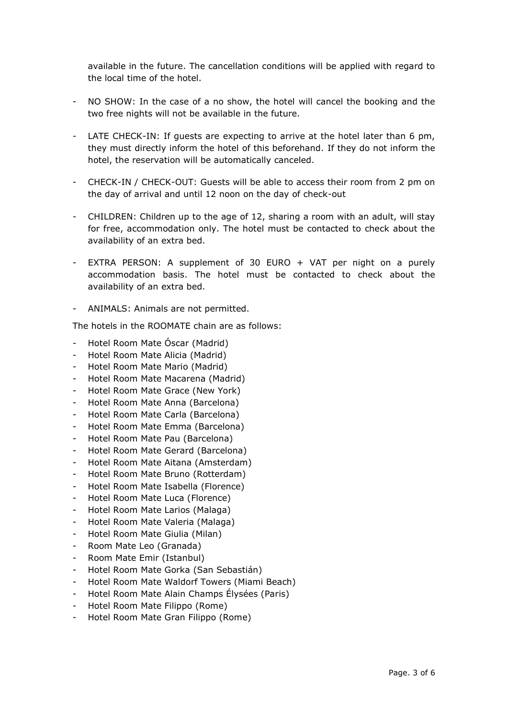available in the future. The cancellation conditions will be applied with regard to the local time of the hotel.

- NO SHOW: In the case of a no show, the hotel will cancel the booking and the two free nights will not be available in the future.
- LATE CHECK-IN: If guests are expecting to arrive at the hotel later than 6 pm, they must directly inform the hotel of this beforehand. If they do not inform the hotel, the reservation will be automatically canceled.
- CHECK-IN / CHECK-OUT: Guests will be able to access their room from 2 pm on the day of arrival and until 12 noon on the day of check-out
- CHILDREN: Children up to the age of 12, sharing a room with an adult, will stay for free, accommodation only. The hotel must be contacted to check about the availability of an extra bed.
- EXTRA PERSON: A supplement of 30 EURO + VAT per night on a purely accommodation basis. The hotel must be contacted to check about the availability of an extra bed.
- ANIMALS: Animals are not permitted.

The hotels in the ROOMATE chain are as follows:

- Hotel Room Mate Óscar (Madrid)
- Hotel Room Mate Alicia (Madrid)
- Hotel Room Mate Mario (Madrid)
- Hotel Room Mate Macarena (Madrid)
- Hotel Room Mate Grace (New York)
- Hotel Room Mate Anna (Barcelona)
- Hotel Room Mate Carla (Barcelona)
- Hotel Room Mate Emma (Barcelona)
- Hotel Room Mate Pau (Barcelona)
- Hotel Room Mate Gerard (Barcelona)
- Hotel Room Mate Aitana (Amsterdam)
- Hotel Room Mate Bruno (Rotterdam)
- Hotel Room Mate Isabella (Florence)
- Hotel Room Mate Luca (Florence)
- Hotel Room Mate Larios (Malaga)
- Hotel Room Mate Valeria (Malaga)
- Hotel Room Mate Giulia (Milan)
- Room Mate Leo (Granada)
- Room Mate Emir (Istanbul)
- Hotel Room Mate Gorka (San Sebastián)
- Hotel Room Mate Waldorf Towers (Miami Beach)
- Hotel Room Mate Alain Champs Élysées (Paris)
- Hotel Room Mate Filippo (Rome)
- Hotel Room Mate Gran Filippo (Rome)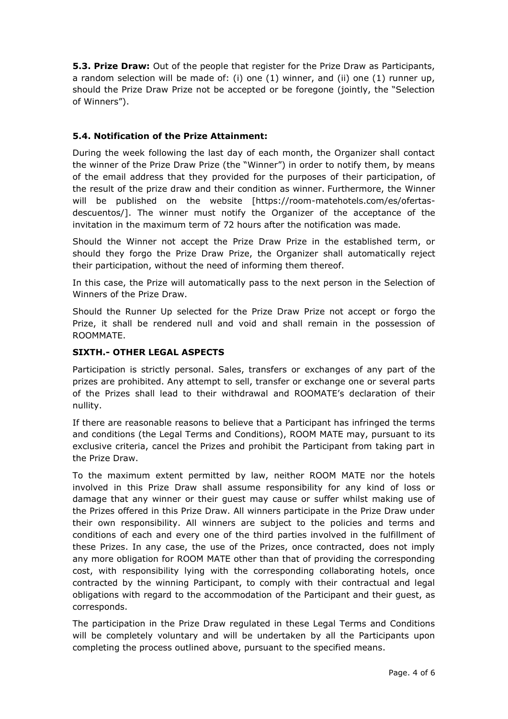**5.3. Prize Draw:** Out of the people that register for the Prize Draw as Participants, a random selection will be made of: (i) one (1) winner, and (ii) one (1) runner up, should the Prize Draw Prize not be accepted or be foregone (jointly, the "Selection of Winners").

# **5.4. Notification of the Prize Attainment:**

During the week following the last day of each month, the Organizer shall contact the winner of the Prize Draw Prize (the "Winner") in order to notify them, by means of the email address that they provided for the purposes of their participation, of the result of the prize draw and their condition as winner. Furthermore, the Winner will be published on the website [https://room-matehotels.com/es/ofertasdescuentos/]. The winner must notify the Organizer of the acceptance of the invitation in the maximum term of 72 hours after the notification was made.

Should the Winner not accept the Prize Draw Prize in the established term, or should they forgo the Prize Draw Prize, the Organizer shall automatically reject their participation, without the need of informing them thereof.

In this case, the Prize will automatically pass to the next person in the Selection of Winners of the Prize Draw.

Should the Runner Up selected for the Prize Draw Prize not accept or forgo the Prize, it shall be rendered null and void and shall remain in the possession of ROOMMATE.

## **SIXTH.- OTHER LEGAL ASPECTS**

Participation is strictly personal. Sales, transfers or exchanges of any part of the prizes are prohibited. Any attempt to sell, transfer or exchange one or several parts of the Prizes shall lead to their withdrawal and ROOMATE's declaration of their nullity.

If there are reasonable reasons to believe that a Participant has infringed the terms and conditions (the Legal Terms and Conditions), ROOM MATE may, pursuant to its exclusive criteria, cancel the Prizes and prohibit the Participant from taking part in the Prize Draw.

To the maximum extent permitted by law, neither ROOM MATE nor the hotels involved in this Prize Draw shall assume responsibility for any kind of loss or damage that any winner or their guest may cause or suffer whilst making use of the Prizes offered in this Prize Draw. All winners participate in the Prize Draw under their own responsibility. All winners are subject to the policies and terms and conditions of each and every one of the third parties involved in the fulfillment of these Prizes. In any case, the use of the Prizes, once contracted, does not imply any more obligation for ROOM MATE other than that of providing the corresponding cost, with responsibility lying with the corresponding collaborating hotels, once contracted by the winning Participant, to comply with their contractual and legal obligations with regard to the accommodation of the Participant and their guest, as corresponds.

The participation in the Prize Draw regulated in these Legal Terms and Conditions will be completely voluntary and will be undertaken by all the Participants upon completing the process outlined above, pursuant to the specified means.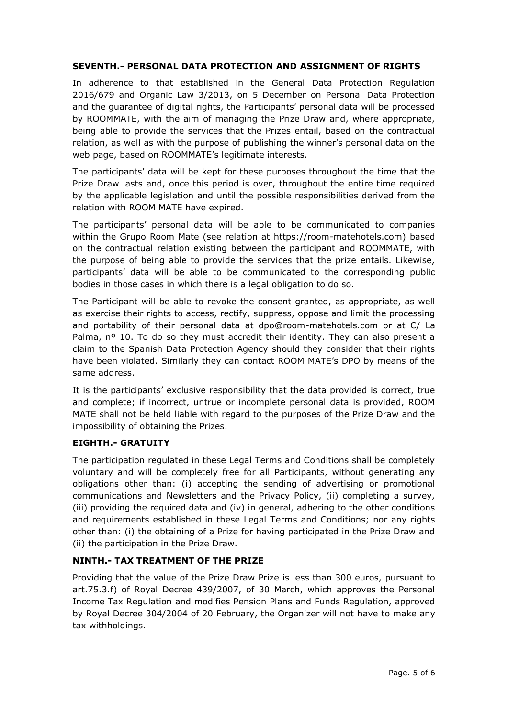## **SEVENTH.- PERSONAL DATA PROTECTION AND ASSIGNMENT OF RIGHTS**

In adherence to that established in the General Data Protection Regulation 2016/679 and Organic Law 3/2013, on 5 December on Personal Data Protection and the guarantee of digital rights, the Participants' personal data will be processed by ROOMMATE, with the aim of managing the Prize Draw and, where appropriate, being able to provide the services that the Prizes entail, based on the contractual relation, as well as with the purpose of publishing the winner's personal data on the web page, based on ROOMMATE's legitimate interests.

The participants' data will be kept for these purposes throughout the time that the Prize Draw lasts and, once this period is over, throughout the entire time required by the applicable legislation and until the possible responsibilities derived from the relation with ROOM MATE have expired.

The participants' personal data will be able to be communicated to companies within the Grupo Room Mate (see relation at https://room-matehotels.com) based on the contractual relation existing between the participant and ROOMMATE, with the purpose of being able to provide the services that the prize entails. Likewise, participants' data will be able to be communicated to the corresponding public bodies in those cases in which there is a legal obligation to do so.

The Participant will be able to revoke the consent granted, as appropriate, as well as exercise their rights to access, rectify, suppress, oppose and limit the processing and portability of their personal data at dpo@room-matehotels.com or at C/ La Palma, n<sup>o</sup> 10. To do so they must accredit their identity. They can also present a claim to the Spanish Data Protection Agency should they consider that their rights have been violated. Similarly they can contact ROOM MATE's DPO by means of the same address.

It is the participants' exclusive responsibility that the data provided is correct, true and complete; if incorrect, untrue or incomplete personal data is provided, ROOM MATE shall not be held liable with regard to the purposes of the Prize Draw and the impossibility of obtaining the Prizes.

### **EIGHTH.- GRATUITY**

The participation regulated in these Legal Terms and Conditions shall be completely voluntary and will be completely free for all Participants, without generating any obligations other than: (i) accepting the sending of advertising or promotional communications and Newsletters and the Privacy Policy, (ii) completing a survey, (iii) providing the required data and (iv) in general, adhering to the other conditions and requirements established in these Legal Terms and Conditions; nor any rights other than: (i) the obtaining of a Prize for having participated in the Prize Draw and (ii) the participation in the Prize Draw.

## **NINTH.- TAX TREATMENT OF THE PRIZE**

Providing that the value of the Prize Draw Prize is less than 300 euros, pursuant to art.75.3.f) of Royal Decree 439/2007, of 30 March, which approves the Personal Income Tax Regulation and modifies Pension Plans and Funds Regulation, approved by Royal Decree 304/2004 of 20 February, the Organizer will not have to make any tax withholdings.